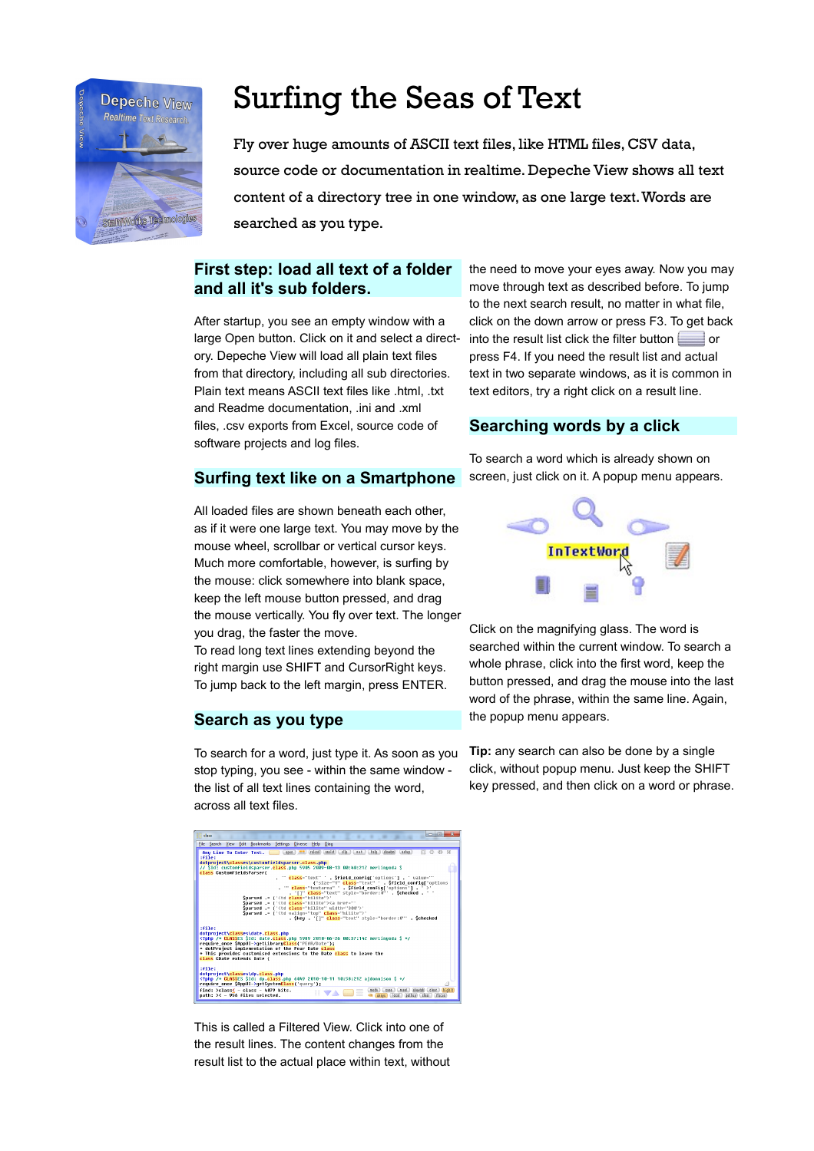

# Surfing the Seas of Text

Fly over huge amounts of ASCII text files, like HTML files, CSV data, source code or documentation in realtime. Depeche View shows all text content of a directory tree in one window, as one large text. Words are searched as you type.

# **First step: load all text of a folder and all it's sub folders.**

After startup, you see an empty window with a large Open button. Click on it and select a directory. Depeche View will load all plain text files from that directory, including all sub directories. Plain text means ASCII text files like .html, .txt and Readme documentation, .ini and .xml files, .csv exports from Excel, source code of software projects and log files.

## **Surfing text like on a Smartphone**

All loaded files are shown beneath each other, as if it were one large text. You may move by the mouse wheel, scrollbar or vertical cursor keys. Much more comfortable, however, is surfing by the mouse: click somewhere into blank space, keep the left mouse button pressed, and drag the mouse vertically. You fly over text. The longer you drag, the faster the move.

To read long text lines extending beyond the right margin use SHIFT and CursorRight keys. To jump back to the left margin, press ENTER.

#### **Search as you type**

To search for a word, just type it. As soon as you stop typing, you see - within the same window the list of all text lines containing the word, across all text files.



This is called a Filtered View. Click into one of the result lines. The content changes from the result list to the actual place within text, without

the need to move your eyes away. Now you may move through text as described before. To jump to the next search result, no matter in what file, click on the down arrow or press F3. To get back into the result list click the filter button  $\Box$  or press F4. If you need the result list and actual text in two separate windows, as it is common in text editors, try a right click on a result line.

#### **Searching words by a click**

To search a word which is already shown on screen, just click on it. A popup menu appears.



Click on the magnifying glass. The word is searched within the current window. To search a whole phrase, click into the first word, keep the button pressed, and drag the mouse into the last word of the phrase, within the same line. Again, the popup menu appears.

**Tip:** any search can also be done by a single click, without popup menu. Just keep the SHIFT key pressed, and then click on a word or phrase.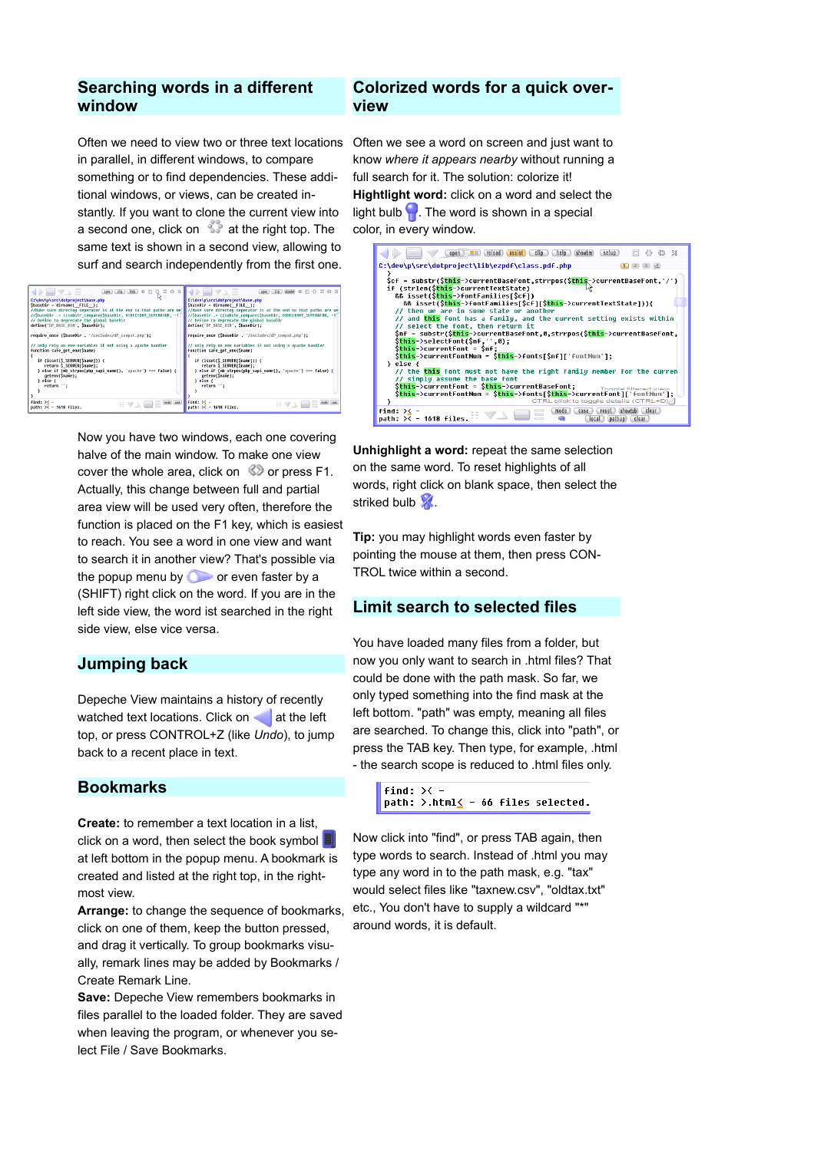# **Searching words in a different window**

Often we need to view two or three text locations Often we see a word on screen and just want to in parallel, in different windows, to compare something or to find dependencies. These additional windows, or views, can be created instantly. If you want to clone the current view into a second one, click on  $\mathbb{R}^3$  at the right top. The same text is shown in a second view, allowing to surf and search independently from the first one.

| $\bigoplus$ $\bigcirc$ $\bigcirc$<br>$(app1)$ $(15)$ $(18)$ $(2)$<br>$Q \equiv \emptyset$ X<br>kè<br>C:\dev\p\src\dotproject\base.php<br>\$baseDir = dirname( FILE );<br>//SbaseDir .= ((substr compare(SbaseDir, DIRECTORY SEPERATOR, -1)<br>// Define to deprecate the global baseDir<br>define('DP BASE DIR', \$baseDir);     | $\rightarrow$ $\rightarrow$ $\rightarrow$<br>cosa clip shoulm 62 [1]<br>C:\dev\p\src\dotproiect\base.php<br>\$baseDir = dirname( FILE );<br>//Hake sure directou seperator is at the end so that paths are we //Hake sure directou seperator is at the end so that paths are we<br>//SbaseDir .= ((substr compare(SbaseDir, DIRECTORY SEPERATOR, -1)<br>// Define to deprecate the global baseDir<br>define('DP BASE DIR', SbaseDir): |
|----------------------------------------------------------------------------------------------------------------------------------------------------------------------------------------------------------------------------------------------------------------------------------------------------------------------------------|---------------------------------------------------------------------------------------------------------------------------------------------------------------------------------------------------------------------------------------------------------------------------------------------------------------------------------------------------------------------------------------------------------------------------------------|
| require once (\$baseDir . '/includes/dP compat.php');<br>// only rely on env variables if not using a apache handler<br>function safe get env(\$name)<br>if (isset(\$ SERVER[\$name])) {<br>return \$ SERVER[\$name];<br>} else if (mb strpos(php sapi name(), 'apache') === false) {<br>getenv(Sname);<br>} else {<br>return ": | require once (SbaseDir . '/includes/dP compat.php');<br>// only rely on env variables if not using a apache handler<br>function safe get env(Sname)<br>if (isset(\$ SERVER[\$name])) {<br>return \$ SERVER[\$name]:<br>} else if (mb strpos(php sapi name(), 'apache') === false) {<br>getenv(\$name);<br>} else {<br>return ";                                                                                                       |
| $find: \times -$<br>HVA E <sup>N</sup><br>path: >< - 1618 files.                                                                                                                                                                                                                                                                 | Find: $\times$ -<br>mode case<br>日マム<br>path: $\times$ - 1618 files.                                                                                                                                                                                                                                                                                                                                                                  |

Now you have two windows, each one covering halve of the main window. To make one view cover the whole area, click on  $\otimes$  or press F1. Actually, this change between full and partial area view will be used very often, therefore the function is placed on the F1 key, which is easiest to reach. You see a word in one view and want to search it in another view? That's possible via the popup menu by  $\bullet$  or even faster by a (SHIFT) right click on the word. If you are in the left side view, the word ist searched in the right side view, else vice versa.

#### **Jumping back**

Depeche View maintains a history of recently watched text locations. Click on  $\blacksquare$  at the left top, or press CONTROL+Z (like *Undo*), to jump back to a recent place in text.

## **Bookmarks**

**Create:** to remember a text location in a list, click on a word, then select the book symbol  $\blacksquare$ at left bottom in the popup menu. A bookmark is created and listed at the right top, in the rightmost view.

**Arrange:** to change the sequence of bookmarks, click on one of them, keep the button pressed, and drag it vertically. To group bookmarks visually, remark lines may be added by Bookmarks / Create Remark Line.

**Save:** Depeche View remembers bookmarks in files parallel to the loaded folder. They are saved when leaving the program, or whenever you select File / Save Bookmarks.

#### **Colorized words for a quick overview**

know *where it appears nearby* without running a full search for it. The solution: colorize it! **Hightlight word:** click on a word and select the light bulb  $\Box$ . The word is shown in a special color, in every window.



**Unhighlight a word:** repeat the same selection on the same word. To reset highlights of all words, right click on blank space, then select the striked bulb  $\mathbb{X}$ .

**Tip:** you may highlight words even faster by pointing the mouse at them, then press CON-TROL twice within a second.

# **Limit search to selected files**

You have loaded many files from a folder, but now you only want to search in .html files? That could be done with the path mask. So far, we only typed something into the find mask at the left bottom. "path" was empty, meaning all files are searched. To change this, click into "path", or press the TAB key. Then type, for example, .html - the search scope is reduced to .html files only.

Now click into "find", or press TAB again, then type words to search. Instead of .html you may type any word in to the path mask, e.g. "tax" would select files like "taxnew.csv", "oldtax.txt" etc., You don't have to supply a wildcard "\*" around words, it is default.